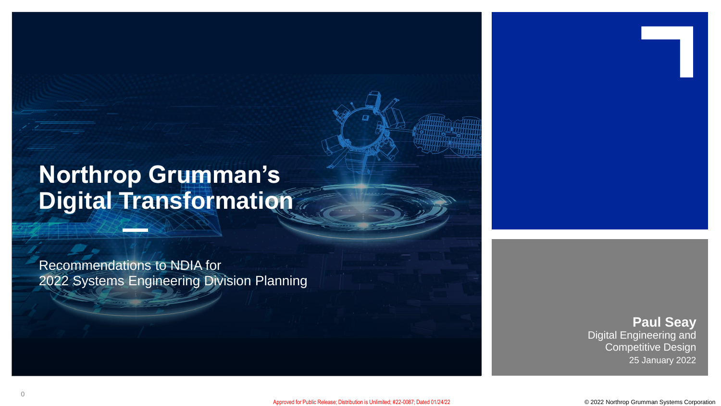# **Northrop Grumman's Digital Transformation**

Recommendations to NDIA for 2022 Systems Engineering Division Planning

> 25 January 2022 Digital Engineering and Competitive Design **Paul Seay**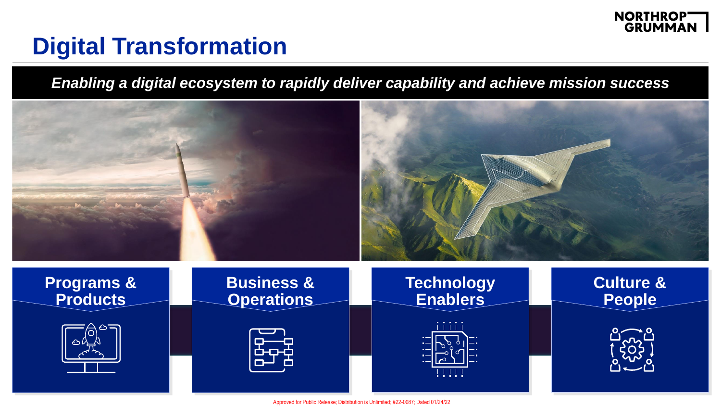

# **Digital Transformation**

*Enabling a digital ecosystem to rapidly deliver capability and achieve mission success*

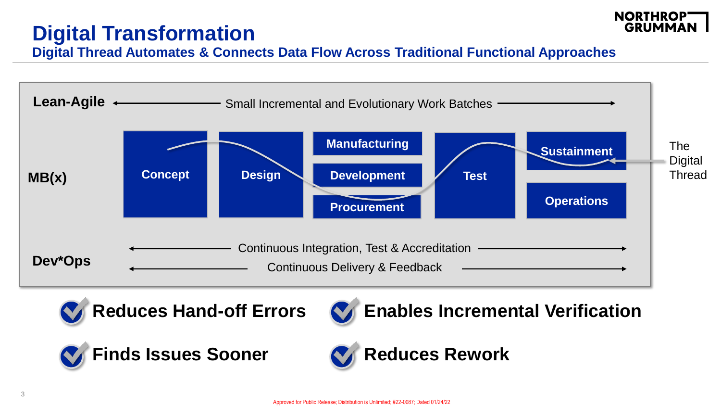## **Digital Transformation**



**Digital Thread Automates & Connects Data Flow Across Traditional Functional Approaches**





**Reduces Hand-off Errors**



**Enables Incremental Verification**



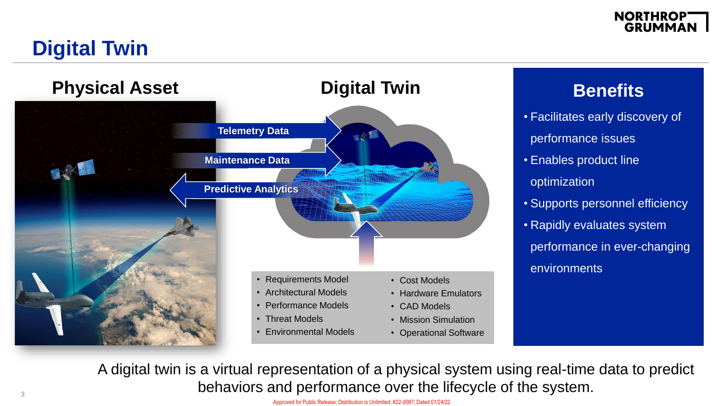#### **NORTHROP GRUMMAN**

## **Digital Twin**



#### **Benefits**

- Facilitates early discovery of performance issues
- Enables product line
- optimization
- Supports personnel efficiency
- Rapidly evaluates system performance in ever-changing environments

A digital twin is a virtual representation of a physical system using real-time data to predict behaviors and performance over the lifecycle of the system.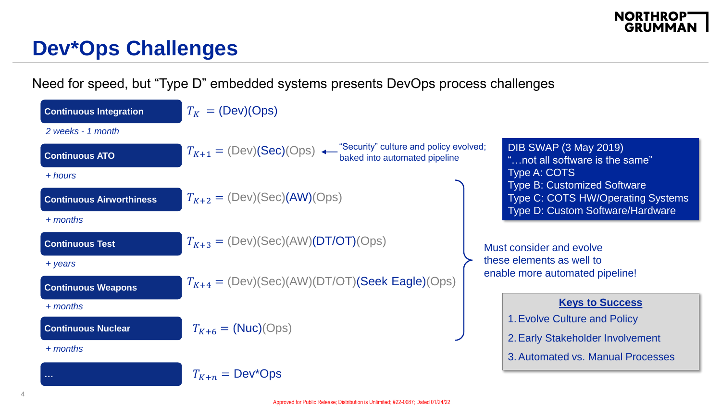#### **NORTHROPT**<br>GRUMMAN

#### **Dev\*Ops Challenges**

Need for speed, but "Type D" embedded systems presents DevOps process challenges

| <b>Continuous Integration</b>   | $T_K = (Dev)(Ops)$                                                                                 |                          |                                                                                                                           |
|---------------------------------|----------------------------------------------------------------------------------------------------|--------------------------|---------------------------------------------------------------------------------------------------------------------------|
| 2 weeks - 1 month               |                                                                                                    |                          |                                                                                                                           |
| <b>Continuous ATO</b>           | $T_{K+1} = (Dev)(Sec)(Ops)$ Gecurity" culture and policy evolved;<br>baked into automated pipeline |                          | <b>DIB SWAP (3 May 2019)</b><br>"not all software is the same"                                                            |
| + hours                         |                                                                                                    |                          | Type A: COTS                                                                                                              |
| <b>Continuous Airworthiness</b> | $T_{K+2} = (Dev)(Sec)(AW)(Ops)$                                                                    |                          | <b>Type B: Customized Software</b><br><b>Type C: COTS HW/Operating Systems</b><br><b>Type D: Custom Software/Hardware</b> |
| $+$ months                      |                                                                                                    |                          |                                                                                                                           |
| <b>Continuous Test</b>          | $T_{K+3} = (Dev)(Sec)(AW)(DT/OT)(Ops)$                                                             | Must consider and evolve |                                                                                                                           |
| + years                         |                                                                                                    |                          | these elements as well to<br>enable more automated pipeline!                                                              |
| <b>Continuous Weapons</b>       | $T_{K+4} = (Dev)(Sec)(AW)(DT/OT)(Seek Eagle)(Ops)$                                                 |                          |                                                                                                                           |
| + months                        |                                                                                                    |                          | <b>Keys to Success</b>                                                                                                    |
| <b>Continuous Nuclear</b>       | $T_{K+6}$ = (Nuc)(Ops)                                                                             |                          | 1. Evolve Culture and Policy                                                                                              |
|                                 |                                                                                                    |                          | 2. Early Stakeholder Involvement                                                                                          |
| $+$ months                      |                                                                                                    |                          | 3. Automated vs. Manual Processes                                                                                         |
| a a si                          | $T_{K+n} = Dev^*Ops$                                                                               |                          |                                                                                                                           |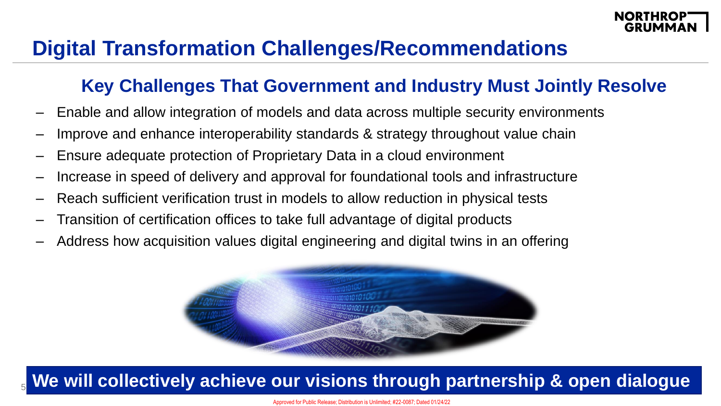#### **Digital Transformation Challenges/Recommendations**

#### **Key Challenges That Government and Industry Must Jointly Resolve**

- Enable and allow integration of models and data across multiple security environments
- Improve and enhance interoperability standards & strategy throughout value chain
- Ensure adequate protection of Proprietary Data in a cloud environment
- Increase in speed of delivery and approval for foundational tools and infrastructure
- Reach sufficient verification trust in models to allow reduction in physical tests
- Transition of certification offices to take full advantage of digital products
- Address how acquisition values digital engineering and digital twins in an offering



#### We will collectively achieve our visions through partnership & open dialogue